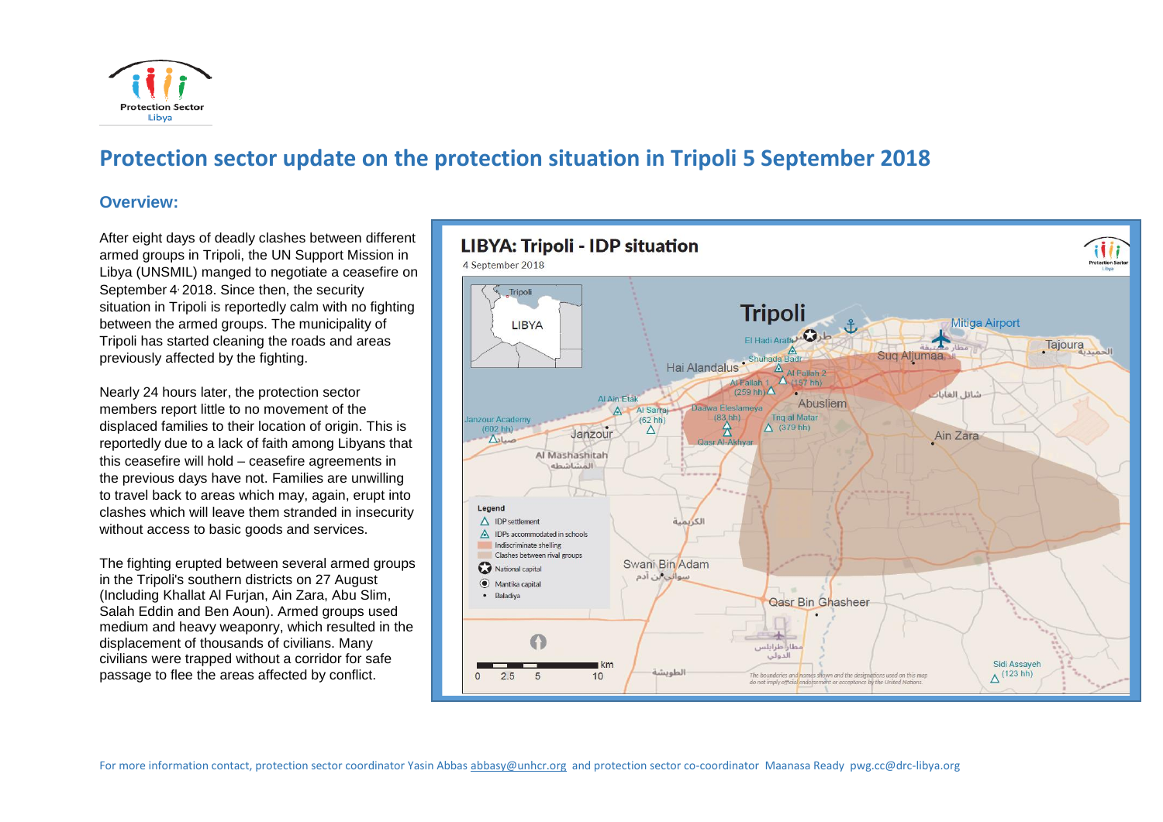

# **Protection sector update on the protection situation in Tripoli 5 September 2018**

### **Overview:**

After eight days of deadly clashes between different armed groups in Tripoli, the UN Support Mission in Libya (UNSMIL) manged to negotiate a ceasefire on September 4 2018. Since then, the security situation in Tripoli is reportedly calm with no fighting between the armed groups. The municipality of Tripoli has started cleaning the roads and areas previously affected by the fighting.

Nearly 24 hours later, the protection sector members report little to no movement of the displaced families to their location of origin. This is reportedly due to a lack of faith among Libyans that this ceasefire will hold – ceasefire agreements in the previous days have not. Families are unwilling to travel back to areas which may, again, erupt into clashes which will leave them stranded in insecurity without access to basic goods and services.

The fighting erupted between several armed groups in the Tripoli's southern districts on 27 August (Including Khallat Al Furjan, Ain Zara, Abu Slim, Salah Eddin and Ben Aoun). Armed groups used medium and heavy weaponry, which resulted in the displacement of thousands of civilians. Many civilians were trapped without a corridor for safe passage to flee the areas affected by conflict.

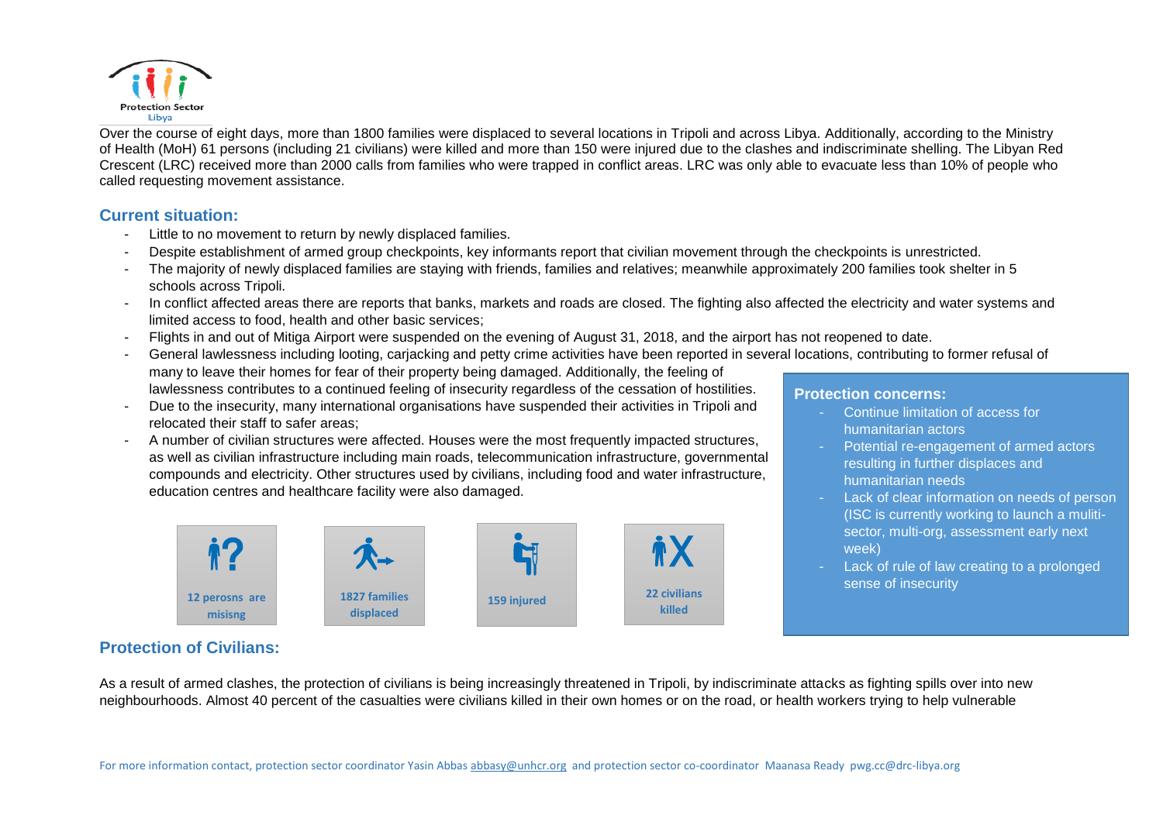

Over the course of eight days, more than 1800 families were displaced to several locations in Tripoli and across Libya. Additionally, according to the Ministry of Health (MoH) 61 persons (including 21 civilians) were killed and more than 150 were injured due to the clashes and indiscriminate shelling. The Libyan Red Crescent (LRC) received more than 2000 calls from families who were trapped in conflict areas. LRC was only able to evacuate less than 10% of people who called requesting movement assistance.

### **Current situation:**

- Little to no movement to return by newly displaced families.
- Despite establishment of armed group checkpoints, key informants report that civilian movement through the checkpoints is unrestricted.
- The majority of newly displaced families are staying with friends, families and relatives; meanwhile approximately 200 families took shelter in 5 schools across Tripoli.
- In conflict affected areas there are reports that banks, markets and roads are closed. The fighting also affected the electricity and water systems and limited access to food, health and other basic services;
- Flights in and out of Mitiga Airport were suspended on the evening of August 31, 2018, and the airport has not reopened to date.
- General lawlessness including looting, carjacking and petty crime activities have been reported in several locations, contributing to former refusal of many to leave their homes for fear of their property being damaged. Additionally, the feeling of lawlessness contributes to a continued feeling of insecurity regardless of the cessation of hostilities.
- Due to the insecurity, many international organisations have suspended their activities in Tripoli and relocated their staff to safer areas;
- A number of civilian structures were affected. Houses were the most frequently impacted structures, as well as civilian infrastructure including main roads, telecommunication infrastructure, governmental compounds and electricity. Other structures used by civilians, including food and water infrastructure, education centres and healthcare facility were also damaged.



#### **Protection concerns:**

- Continue limitation of access for humanitarian actors
- Potential re-engagement of armed actors resulting in further displaces and humanitarian needs
- Lack of clear information on needs of person (ISC is currently working to launch a mulitisector, multi-org, assessment early next week)
- Lack of rule of law creating to a prolonged sense of insecurity

## **Protection of Civilians:**

As a result of armed clashes, the protection of civilians is being increasingly threatened in Tripoli, by indiscriminate attacks as fighting spills over into new neighbourhoods. Almost 40 percent of the casualties were civilians killed in their own homes or on the road, or health workers trying to help vulnerable